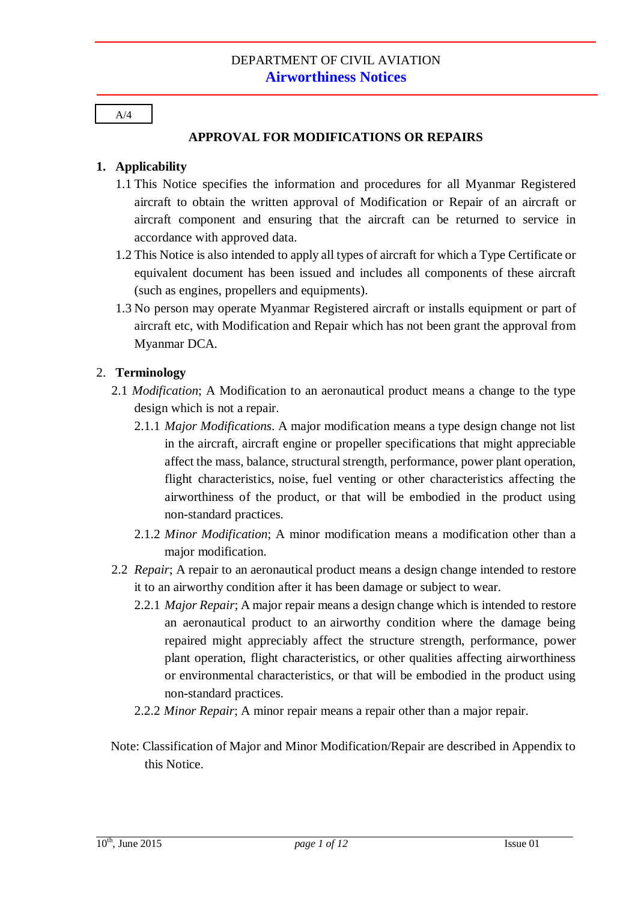#### **APPROVAL FOR MODIFICATIONS OR REPAIRS**

#### **1. Applicability**

- 1.1 This Notice specifies the information and procedures for all Myanmar Registered aircraft to obtain the written approval of Modification or Repair of an aircraft or aircraft component and ensuring that the aircraft can be returned to service in accordance with approved data.
- 1.2 This Notice is also intended to apply all types of aircraft for which a Type Certificate or equivalent document has been issued and includes all components of these aircraft (such as engines, propellers and equipments).
- 1.3 No person may operate Myanmar Registered aircraft or installs equipment or part of aircraft etc, with Modification and Repair which has not been grant the approval from Myanmar DCA.

#### 2. **Terminology**

- 2.1 *Modification*; A Modification to an aeronautical product means a change to the type design which is not a repair.
	- 2.1.1 *Major Modifications*. A major modification means a type design change not list in the aircraft, aircraft engine or propeller specifications that might appreciable affect the mass, balance, structural strength, performance, power plant operation, flight characteristics, noise, fuel venting or other characteristics affecting the airworthiness of the product, or that will be embodied in the product using non-standard practices.
	- 2.1.2 *Minor Modification*; A minor modification means a modification other than a major modification.
- 2.2 *Repair*; A repair to an aeronautical product means a design change intended to restore it to an airworthy condition after it has been damage or subject to wear.
	- 2.2.1 *Major Repair*; A major repair means a design change which is intended to restore an aeronautical product to an airworthy condition where the damage being repaired might appreciably affect the structure strength, performance, power plant operation, flight characteristics, or other qualities affecting airworthiness or environmental characteristics, or that will be embodied in the product using non-standard practices.
	- 2.2.2 *Minor Repair*; A minor repair means a repair other than a major repair.
- Note: Classification of Major and Minor Modification/Repair are described in Appendix to this Notice.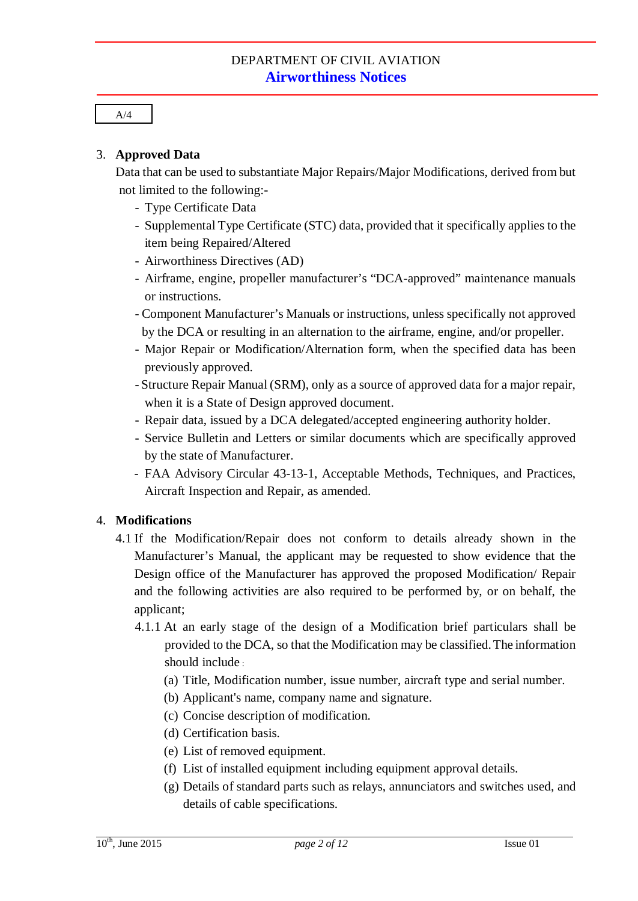#### 3. **Approved Data**

Data that can be used to substantiate Major Repairs/Major Modifications, derived from but not limited to the following:-

- Type Certificate Data
- Supplemental Type Certificate (STC) data, provided that it specifically applies to the item being Repaired/Altered
- Airworthiness Directives (AD)
- Airframe, engine, propeller manufacturer's "DCA-approved" maintenance manuals or instructions.
- Component Manufacturer's Manuals or instructions, unless specifically not approved by the DCA or resulting in an alternation to the airframe, engine, and/or propeller.
- Major Repair or Modification/Alternation form, when the specified data has been previously approved.
- Structure Repair Manual (SRM), only as a source of approved data for a major repair, when it is a State of Design approved document.
- Repair data, issued by a DCA delegated/accepted engineering authority holder.
- Service Bulletin and Letters or similar documents which are specifically approved by the state of Manufacturer.
- FAA Advisory Circular 43-13-1, Acceptable Methods, Techniques, and Practices, Aircraft Inspection and Repair, as amended.

#### 4. **Modifications**

- 4.1 If the Modification/Repair does not conform to details already shown in the Manufacturer's Manual, the applicant may be requested to show evidence that the Design office of the Manufacturer has approved the proposed Modification/ Repair and the following activities are also required to be performed by, or on behalf, the applicant;
	- 4.1.1 At an early stage of the design of a Modification brief particulars shall be provided to the DCA, so that the Modification may be classified.The information should include :
		- (a) Title, Modification number, issue number, aircraft type and serial number.
		- (b) Applicant's name, company name and signature.
		- (c) Concise description of modification.
		- (d) Certification basis.
		- (e) List of removed equipment.
		- (f) List of installed equipment including equipment approval details.
		- (g) Details of standard parts such as relays, annunciators and switches used, and details of cable specifications.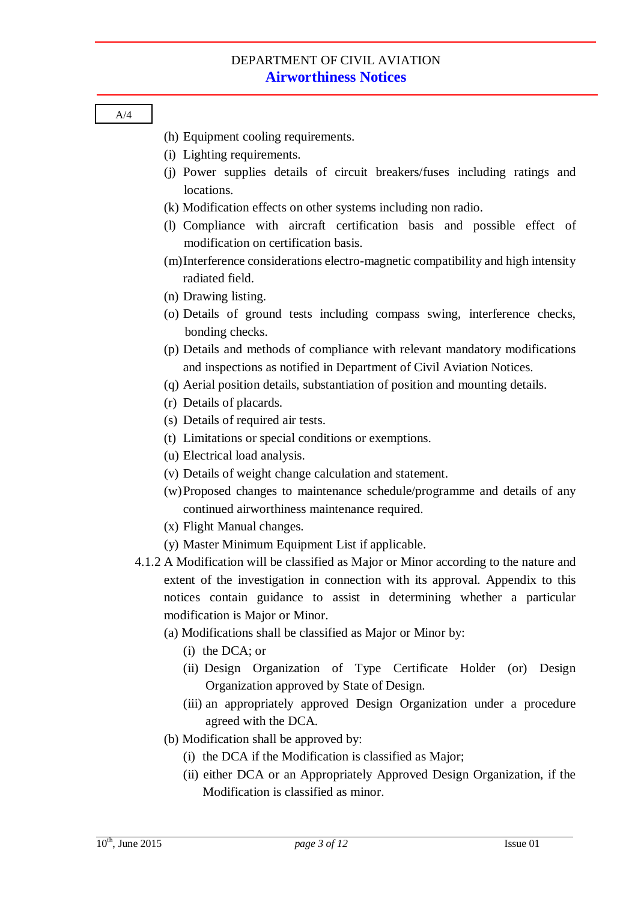- (h) Equipment cooling requirements.
- (i) Lighting requirements.
- (j) Power supplies details of circuit breakers/fuses including ratings and locations.
- (k) Modification effects on other systems including non radio.
- (l) Compliance with aircraft certification basis and possible effect of modification on certification basis.
- (m)Interference considerations electro-magnetic compatibility and high intensity radiated field.
- (n) Drawing listing.
- (o) Details of ground tests including compass swing, interference checks, bonding checks.
- (p) Details and methods of compliance with relevant mandatory modifications and inspections as notified in Department of Civil Aviation Notices.
- (q) Aerial position details, substantiation of position and mounting details.
- (r) Details of placards.
- (s) Details of required air tests.
- (t) Limitations or special conditions or exemptions.
- (u) Electrical load analysis.
- (v) Details of weight change calculation and statement.
- (w)Proposed changes to maintenance schedule/programme and details of any continued airworthiness maintenance required.
- (x) Flight Manual changes.
- (y) Master Minimum Equipment List if applicable.
- 4.1.2 A Modification will be classified as Major or Minor according to the nature and extent of the investigation in connection with its approval. Appendix to this notices contain guidance to assist in determining whether a particular modification is Major or Minor.
	- (a) Modifications shall be classified as Major or Minor by:
		- (i) the DCA; or
		- (ii) Design Organization of Type Certificate Holder (or) Design Organization approved by State of Design.
		- (iii) an appropriately approved Design Organization under a procedure agreed with the DCA.
	- (b) Modification shall be approved by:
		- (i) the DCA if the Modification is classified as Major;
		- (ii) either DCA or an Appropriately Approved Design Organization, if the Modification is classified as minor.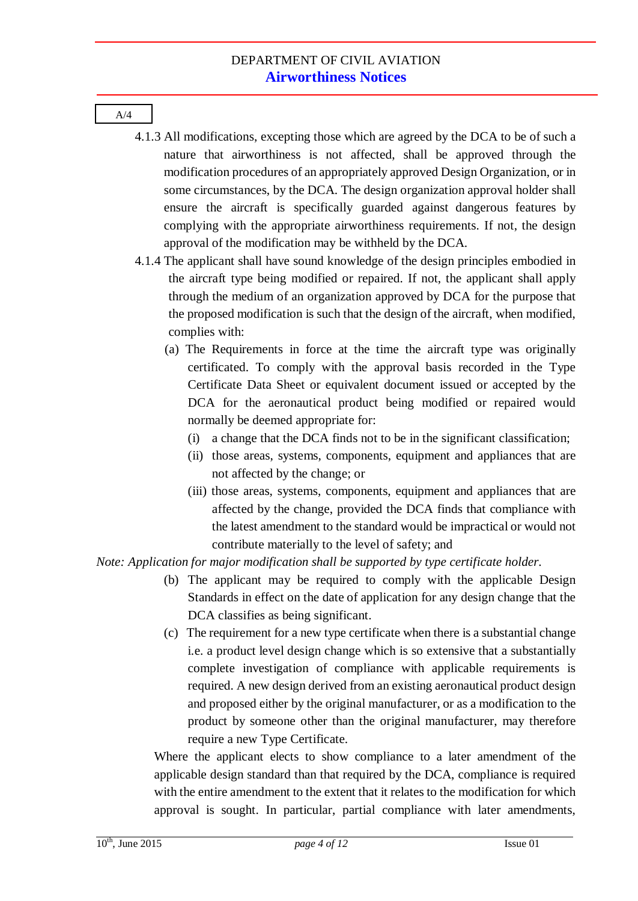- 4.1.3 All modifications, excepting those which are agreed by the DCA to be of such a nature that airworthiness is not affected, shall be approved through the modification procedures of an appropriately approved Design Organization, or in some circumstances, by the DCA. The design organization approval holder shall ensure the aircraft is specifically guarded against dangerous features by complying with the appropriate airworthiness requirements. If not, the design approval of the modification may be withheld by the DCA.
- 4.1.4 The applicant shall have sound knowledge of the design principles embodied in the aircraft type being modified or repaired. If not, the applicant shall apply through the medium of an organization approved by DCA for the purpose that the proposed modification is such that the design of the aircraft, when modified, complies with:
	- (a) The Requirements in force at the time the aircraft type was originally certificated. To comply with the approval basis recorded in the Type Certificate Data Sheet or equivalent document issued or accepted by the DCA for the aeronautical product being modified or repaired would normally be deemed appropriate for:
		- (i) a change that the DCA finds not to be in the significant classification;
		- (ii) those areas, systems, components, equipment and appliances that are not affected by the change; or
		- (iii) those areas, systems, components, equipment and appliances that are affected by the change, provided the DCA finds that compliance with the latest amendment to the standard would be impractical or would not contribute materially to the level of safety; and

*Note: Application for major modification shall be supported by type certificate holder*.

- (b) The applicant may be required to comply with the applicable Design Standards in effect on the date of application for any design change that the DCA classifies as being significant.
- (c) The requirement for a new type certificate when there is a substantial change i.e. a product level design change which is so extensive that a substantially complete investigation of compliance with applicable requirements is required. A new design derived from an existing aeronautical product design and proposed either by the original manufacturer, or as a modification to the product by someone other than the original manufacturer, may therefore require a new Type Certificate.

Where the applicant elects to show compliance to a later amendment of the applicable design standard than that required by the DCA, compliance is required with the entire amendment to the extent that it relates to the modification for which approval is sought. In particular, partial compliance with later amendments,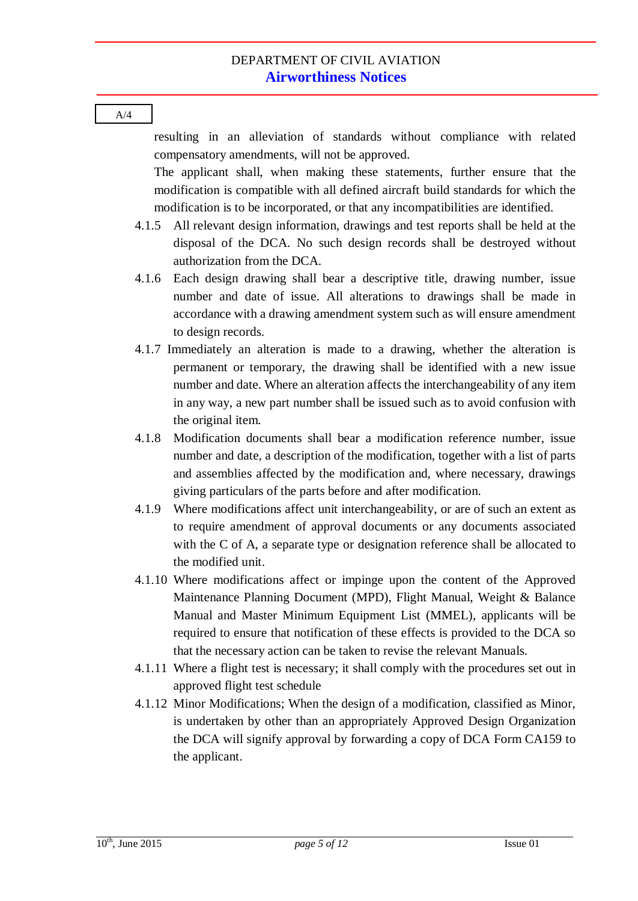resulting in an alleviation of standards without compliance with related compensatory amendments, will not be approved. The applicant shall, when making these statements, further ensure that the

modification is compatible with all defined aircraft build standards for which the modification is to be incorporated, or that any incompatibilities are identified.

- 4.1.5 All relevant design information, drawings and test reports shall be held at the disposal of the DCA. No such design records shall be destroyed without authorization from the DCA.
- 4.1.6 Each design drawing shall bear a descriptive title, drawing number, issue number and date of issue. All alterations to drawings shall be made in accordance with a drawing amendment system such as will ensure amendment to design records.
- 4.1.7 Immediately an alteration is made to a drawing, whether the alteration is permanent or temporary, the drawing shall be identified with a new issue number and date. Where an alteration affects the interchangeability of any item in any way, a new part number shall be issued such as to avoid confusion with the original item.
- 4.1.8 Modification documents shall bear a modification reference number, issue number and date, a description of the modification, together with a list of parts and assemblies affected by the modification and, where necessary, drawings giving particulars of the parts before and after modification.
- 4.1.9 Where modifications affect unit interchangeability, or are of such an extent as to require amendment of approval documents or any documents associated with the C of A, a separate type or designation reference shall be allocated to the modified unit.
- 4.1.10 Where modifications affect or impinge upon the content of the Approved Maintenance Planning Document (MPD), Flight Manual, Weight & Balance Manual and Master Minimum Equipment List (MMEL), applicants will be required to ensure that notification of these effects is provided to the DCA so that the necessary action can be taken to revise the relevant Manuals.
- 4.1.11 Where a flight test is necessary; it shall comply with the procedures set out in approved flight test schedule
- 4.1.12 Minor Modifications; When the design of a modification, classified as Minor, is undertaken by other than an appropriately Approved Design Organization the DCA will signify approval by forwarding a copy of DCA Form CA159 to the applicant.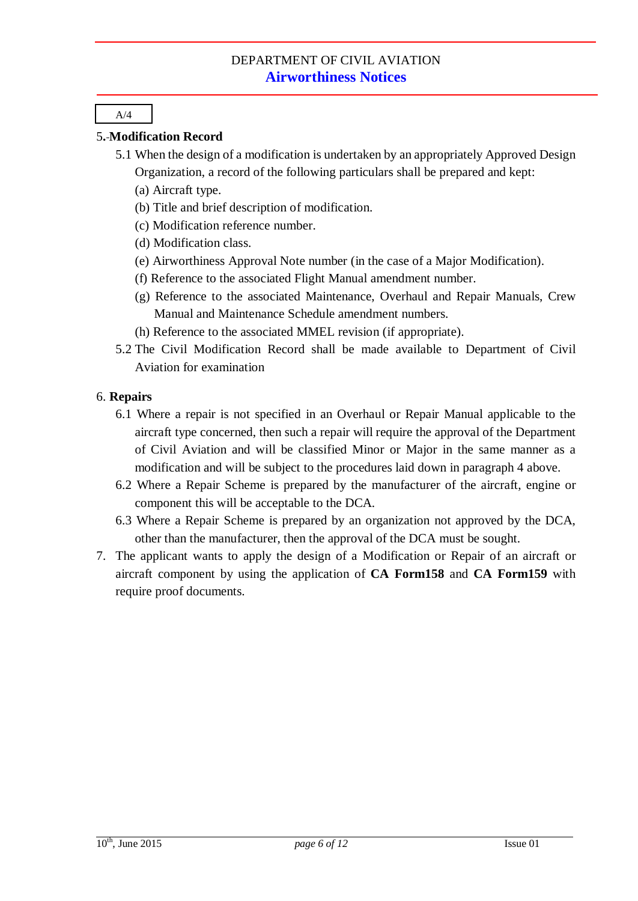#### 5**. Modification Record**

- 5.1 When the design of a modification is undertaken by an appropriately Approved Design Organization, a record of the following particulars shall be prepared and kept:
	- (a) Aircraft type.
	- (b) Title and brief description of modification.
	- (c) Modification reference number.
	- (d) Modification class.
	- (e) Airworthiness Approval Note number (in the case of a Major Modification).
	- (f) Reference to the associated Flight Manual amendment number.
	- (g) Reference to the associated Maintenance, Overhaul and Repair Manuals, Crew Manual and Maintenance Schedule amendment numbers.
	- (h) Reference to the associated MMEL revision (if appropriate).
- 5.2 The Civil Modification Record shall be made available to Department of Civil Aviation for examination

#### 6. **Repairs**

- 6.1 Where a repair is not specified in an Overhaul or Repair Manual applicable to the aircraft type concerned, then such a repair will require the approval of the Department of Civil Aviation and will be classified Minor or Major in the same manner as a modification and will be subject to the procedures laid down in paragraph 4 above.
- 6.2 Where a Repair Scheme is prepared by the manufacturer of the aircraft, engine or component this will be acceptable to the DCA.
- 6.3 Where a Repair Scheme is prepared by an organization not approved by the DCA, other than the manufacturer, then the approval of the DCA must be sought.
- 7. The applicant wants to apply the design of a Modification or Repair of an aircraft or aircraft component by using the application of **CA Form158** and **CA Form159** with require proof documents.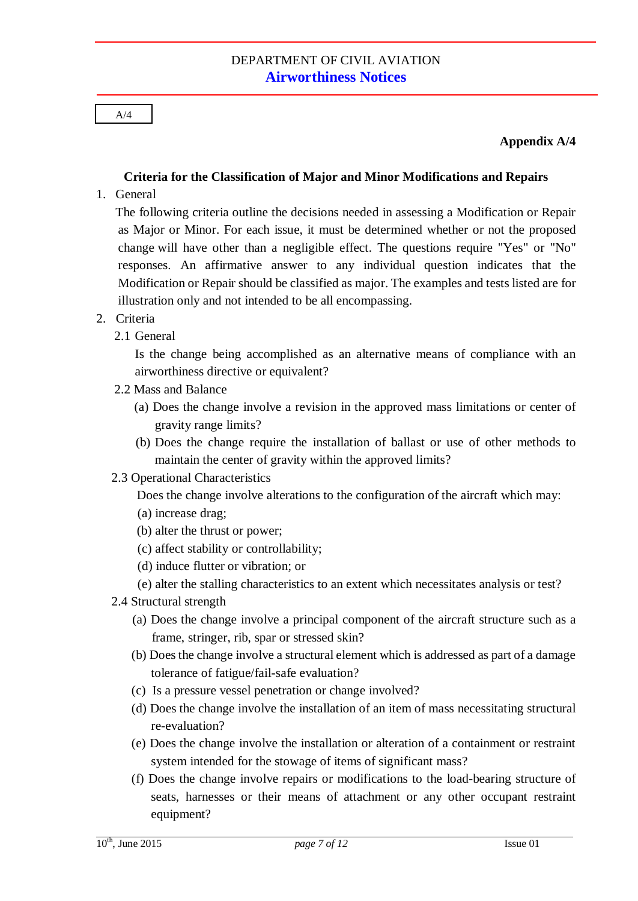#### **Appendix A/4**

### **Criteria for the Classification of Major and Minor Modifications and Repairs**

1. General

The following criteria outline the decisions needed in assessing a Modification or Repair as Major or Minor. For each issue, it must be determined whether or not the proposed change will have other than a negligible effect. The questions require "Yes" or "No" responses. An affirmative answer to any individual question indicates that the Modification or Repair should be classified as major. The examples and tests listed are for illustration only and not intended to be all encompassing.

### 2. Criteria

2.1 General

Is the change being accomplished as an alternative means of compliance with an airworthiness directive or equivalent?

- 2.2 Mass and Balance
	- (a) Does the change involve a revision in the approved mass limitations or center of gravity range limits?
	- (b) Does the change require the installation of ballast or use of other methods to maintain the center of gravity within the approved limits?
- 2.3 Operational Characteristics

Does the change involve alterations to the configuration of the aircraft which may:

- (a) increase drag;
- (b) alter the thrust or power;
- (c) affect stability or controllability;
- (d) induce flutter or vibration; or
- (e) alter the stalling characteristics to an extent which necessitates analysis or test?
- 2.4 Structural strength
	- (a) Does the change involve a principal component of the aircraft structure such as a frame, stringer, rib, spar or stressed skin?
	- (b) Does the change involve a structural element which is addressed as part of a damage tolerance of fatigue/fail-safe evaluation?
	- (c) Is a pressure vessel penetration or change involved?
	- (d) Does the change involve the installation of an item of mass necessitating structural re-evaluation?
	- (e) Does the change involve the installation or alteration of a containment or restraint system intended for the stowage of items of significant mass?
	- (f) Does the change involve repairs or modifications to the load-bearing structure of seats, harnesses or their means of attachment or any other occupant restraint equipment?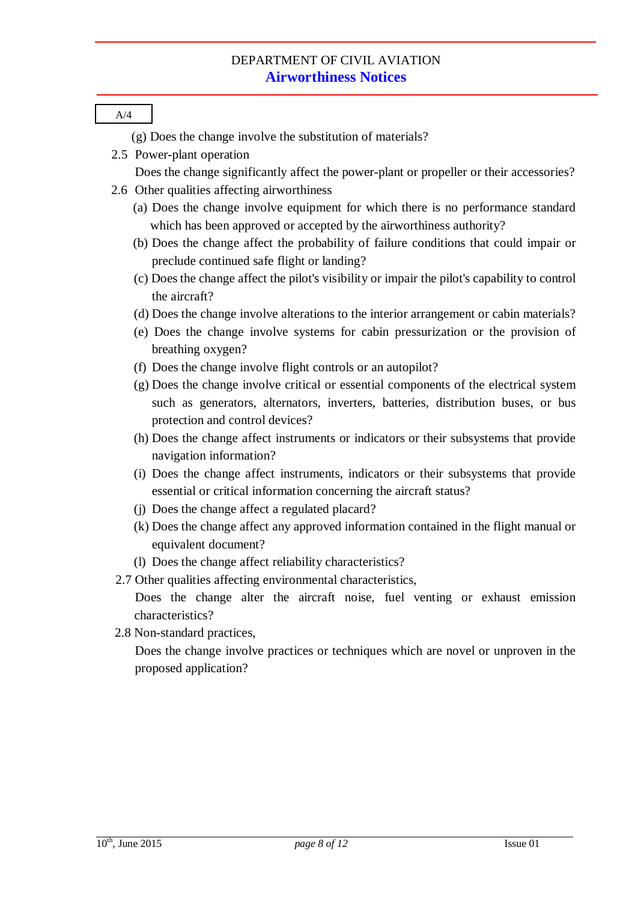| A/4                                                                                                                                                                                                           |
|---------------------------------------------------------------------------------------------------------------------------------------------------------------------------------------------------------------|
| (g) Does the change involve the substitution of materials?                                                                                                                                                    |
| 2.5 Power-plant operation                                                                                                                                                                                     |
| Does the change significantly affect the power-plant or propeller or their accessories?                                                                                                                       |
| 2.6 Other qualities affecting airworthiness                                                                                                                                                                   |
| (a) Does the change involve equipment for which there is no performance standard<br>which has been approved or accepted by the airworthiness authority?                                                       |
| (b) Does the change affect the probability of failure conditions that could impair or                                                                                                                         |
| preclude continued safe flight or landing?                                                                                                                                                                    |
| (c) Does the change affect the pilot's visibility or impair the pilot's capability to control<br>the aircraft?                                                                                                |
| (d) Does the change involve alterations to the interior arrangement or cabin materials?                                                                                                                       |
| (e) Does the change involve systems for cabin pressurization or the provision of                                                                                                                              |
| breathing oxygen?                                                                                                                                                                                             |
| (f) Does the change involve flight controls or an autopilot?                                                                                                                                                  |
| (g) Does the change involve critical or essential components of the electrical system<br>such as generators, alternators, inverters, batteries, distribution buses, or bus<br>protection and control devices? |
| (h) Does the change affect instruments or indicators or their subsystems that provide                                                                                                                         |
| navigation information?                                                                                                                                                                                       |
| (i) Does the change affect instruments, indicators or their subsystems that provide<br>essential or critical information concerning the aircraft status?                                                      |
| (j) Does the change affect a regulated placard?                                                                                                                                                               |
| (k) Does the change affect any approved information contained in the flight manual or<br>equivalent document?                                                                                                 |
| (l) Does the change affect reliability characteristics?                                                                                                                                                       |
| 2.7 Other qualities affecting environmental characteristics,                                                                                                                                                  |
| Does the change alter the aircraft noise, fuel venting or exhaust emission                                                                                                                                    |
| characteristics?                                                                                                                                                                                              |
| 2.8 Non-standard practices,                                                                                                                                                                                   |
| Does the change involve practices or techniques which are novel or unproven in the<br>proposed application?                                                                                                   |
|                                                                                                                                                                                                               |
|                                                                                                                                                                                                               |
|                                                                                                                                                                                                               |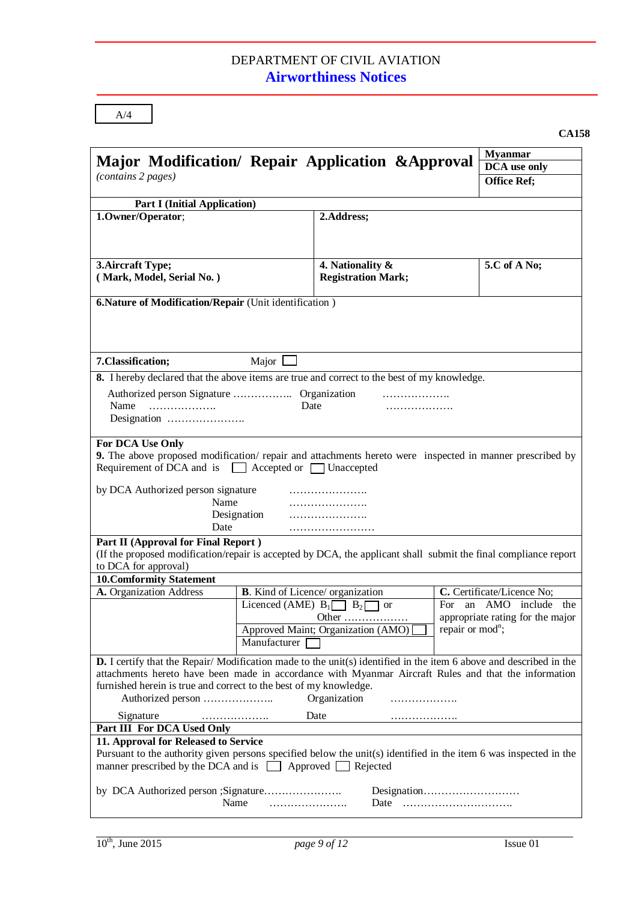| <b>Part I (Initial Application)</b><br>1.0wner/Operator;<br>3. Aircraft Type;<br>(Mark, Model, Serial No.)<br>6. Nature of Modification/Repair (Unit identification)<br>7. Classification;<br>Major  <br>8. I hereby declared that the above items are true and correct to the best of my knowledge.<br>Name<br>Date<br>.<br>For DCA Use Only<br>9. The above proposed modification/repair and attachments hereto were inspected in manner prescribed by | 2.Address;<br>4. Nationality &<br><b>Registration Mark;</b><br>.<br>. | 5.C of A No;                                                                           |  |
|----------------------------------------------------------------------------------------------------------------------------------------------------------------------------------------------------------------------------------------------------------------------------------------------------------------------------------------------------------------------------------------------------------------------------------------------------------|-----------------------------------------------------------------------|----------------------------------------------------------------------------------------|--|
|                                                                                                                                                                                                                                                                                                                                                                                                                                                          |                                                                       |                                                                                        |  |
|                                                                                                                                                                                                                                                                                                                                                                                                                                                          |                                                                       |                                                                                        |  |
|                                                                                                                                                                                                                                                                                                                                                                                                                                                          |                                                                       |                                                                                        |  |
|                                                                                                                                                                                                                                                                                                                                                                                                                                                          |                                                                       |                                                                                        |  |
|                                                                                                                                                                                                                                                                                                                                                                                                                                                          |                                                                       |                                                                                        |  |
|                                                                                                                                                                                                                                                                                                                                                                                                                                                          |                                                                       |                                                                                        |  |
|                                                                                                                                                                                                                                                                                                                                                                                                                                                          |                                                                       |                                                                                        |  |
|                                                                                                                                                                                                                                                                                                                                                                                                                                                          |                                                                       |                                                                                        |  |
|                                                                                                                                                                                                                                                                                                                                                                                                                                                          |                                                                       |                                                                                        |  |
| Requirement of DCA and is Accepted or Unaccepted<br>by DCA Authorized person signature<br>Name<br>Designation<br>Date                                                                                                                                                                                                                                                                                                                                    |                                                                       |                                                                                        |  |
| Part II (Approval for Final Report)<br>(If the proposed modification/repair is accepted by DCA, the applicant shall submit the final compliance report<br>to DCA for approval)                                                                                                                                                                                                                                                                           |                                                                       |                                                                                        |  |
| <b>10. Comformity Statement</b>                                                                                                                                                                                                                                                                                                                                                                                                                          |                                                                       |                                                                                        |  |
| A. Organization Address<br><b>B</b> . Kind of Licence/ organization                                                                                                                                                                                                                                                                                                                                                                                      |                                                                       | C. Certificate/Licence No;                                                             |  |
| Licenced (AME) $B_1 \Box B_2$<br>Manufacturer                                                                                                                                                                                                                                                                                                                                                                                                            | For<br><b>or</b><br>Other<br>Approved Maint; Organization (AMO)       | an AMO include the<br>appropriate rating for the major<br>repair or mod <sup>n</sup> ; |  |
| <b>D.</b> I certify that the Repair/Modification made to the unit(s) identified in the item 6 above and described in the<br>attachments hereto have been made in accordance with Myanmar Aircraft Rules and that the information<br>furnished herein is true and correct to the best of my knowledge.                                                                                                                                                    | Organization<br>.                                                     |                                                                                        |  |
| Signature<br>.                                                                                                                                                                                                                                                                                                                                                                                                                                           | Date                                                                  |                                                                                        |  |
| Part III For DCA Used Only                                                                                                                                                                                                                                                                                                                                                                                                                               |                                                                       |                                                                                        |  |
| 11. Approval for Released to Service<br>Pursuant to the authority given persons specified below the unit(s) identified in the item 6 was inspected in the<br>manner prescribed by the DCA and is $\Box$ Approved $\Box$ Rejected                                                                                                                                                                                                                         |                                                                       |                                                                                        |  |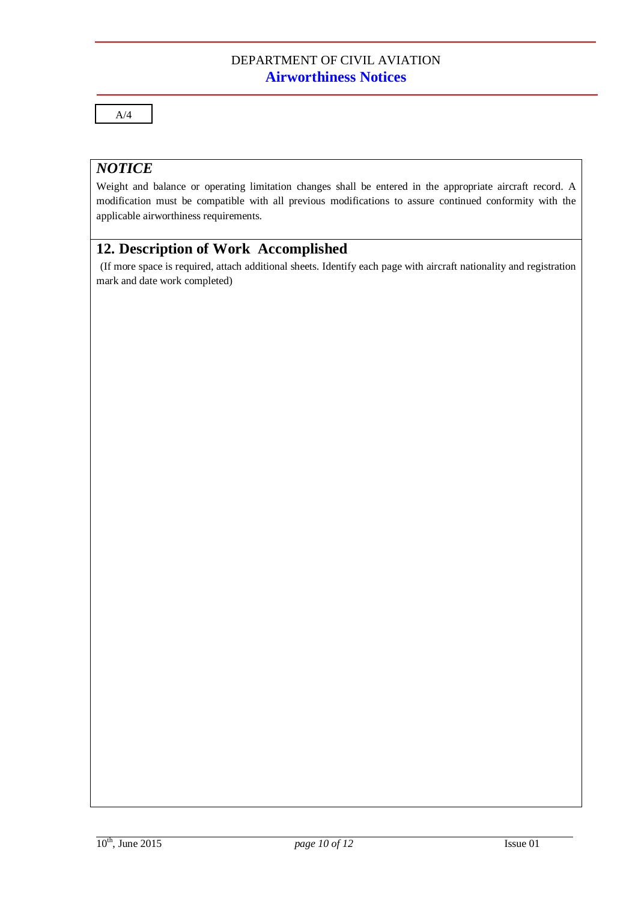A/4

### *NOTICE*

Weight and balance or operating limitation changes shall be entered in the appropriate aircraft record. A modification must be compatible with all previous modifications to assure continued conformity with the applicable airworthiness requirements.

# **12. Description of Work Accomplished**

(If more space is required, attach additional sheets. Identify each page with aircraft nationality and registration mark and date work completed)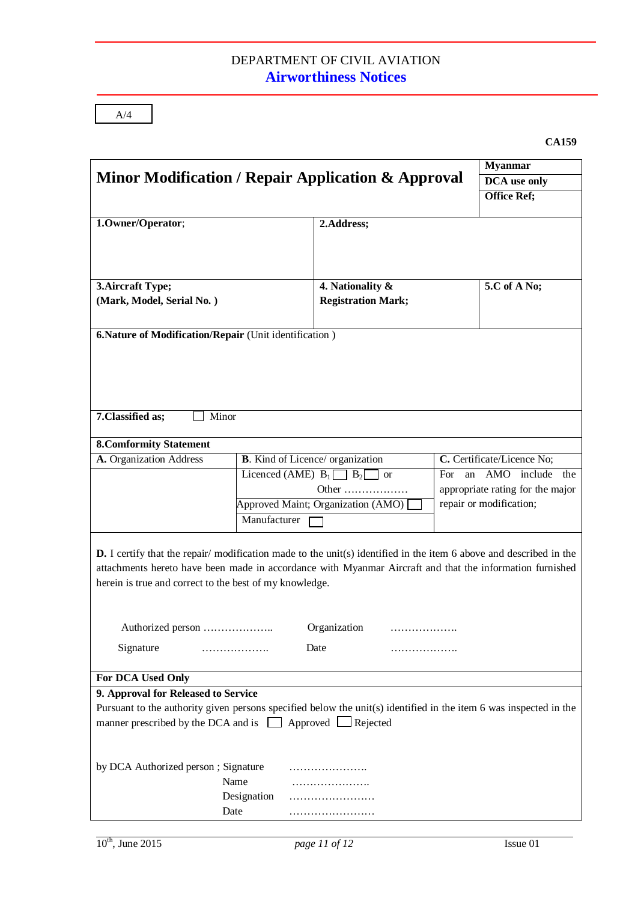|                                                                                                                          |                                                                                 |                           |                         | <b>Myanmar</b><br>DCA use only |
|--------------------------------------------------------------------------------------------------------------------------|---------------------------------------------------------------------------------|---------------------------|-------------------------|--------------------------------|
|                                                                                                                          | Minor Modification / Repair Application & Approval                              |                           |                         |                                |
|                                                                                                                          |                                                                                 |                           | <b>Office Ref;</b>      |                                |
|                                                                                                                          |                                                                                 |                           |                         |                                |
| 1.Owner/Operator;                                                                                                        |                                                                                 | 2.Address;                |                         |                                |
|                                                                                                                          |                                                                                 |                           |                         |                                |
|                                                                                                                          |                                                                                 |                           |                         |                                |
|                                                                                                                          |                                                                                 |                           |                         |                                |
| 3. Aircraft Type;                                                                                                        |                                                                                 | 4. Nationality &          |                         | 5.C of A No;                   |
| (Mark, Model, Serial No.)                                                                                                |                                                                                 | <b>Registration Mark;</b> |                         |                                |
|                                                                                                                          |                                                                                 |                           |                         |                                |
| 6. Nature of Modification/Repair (Unit identification)                                                                   |                                                                                 |                           |                         |                                |
|                                                                                                                          |                                                                                 |                           |                         |                                |
|                                                                                                                          |                                                                                 |                           |                         |                                |
|                                                                                                                          |                                                                                 |                           |                         |                                |
|                                                                                                                          |                                                                                 |                           |                         |                                |
|                                                                                                                          |                                                                                 |                           |                         |                                |
| 7. Classified as;<br>Minor                                                                                               |                                                                                 |                           |                         |                                |
|                                                                                                                          |                                                                                 |                           |                         |                                |
| <b>8. Comformity Statement</b>                                                                                           |                                                                                 |                           |                         |                                |
| A. Organization Address                                                                                                  | C. Certificate/Licence No;<br><b>B.</b> Kind of Licence/ organization           |                           |                         |                                |
|                                                                                                                          | Licenced (AME) $B_1 \square \overline{B_2}$<br><b>AMO</b><br>For.<br>an<br>  or |                           | include the             |                                |
|                                                                                                                          | appropriate rating for the major<br>Other                                       |                           |                         |                                |
|                                                                                                                          | Approved Maint; Organization (AMO)                                              |                           | repair or modification; |                                |
|                                                                                                                          | Manufacturer                                                                    |                           |                         |                                |
|                                                                                                                          |                                                                                 |                           |                         |                                |
| <b>D.</b> I certify that the repair/modification made to the unit(s) identified in the item 6 above and described in the |                                                                                 |                           |                         |                                |
| attachments hereto have been made in accordance with Myanmar Aircraft and that the information furnished                 |                                                                                 |                           |                         |                                |
| herein is true and correct to the best of my knowledge.                                                                  |                                                                                 |                           |                         |                                |
|                                                                                                                          |                                                                                 |                           |                         |                                |
|                                                                                                                          |                                                                                 |                           |                         |                                |
| Authorized person                                                                                                        |                                                                                 | Organization              |                         |                                |
| Signature                                                                                                                | .                                                                               | Date                      |                         |                                |
|                                                                                                                          |                                                                                 | .                         |                         |                                |
| For DCA Used Only                                                                                                        |                                                                                 |                           |                         |                                |
| 9. Approval for Released to Service                                                                                      |                                                                                 |                           |                         |                                |
| Pursuant to the authority given persons specified below the unit(s) identified in the item 6 was inspected in the        |                                                                                 |                           |                         |                                |
| manner prescribed by the DCA and is $\Box$ Approved $\Box$ Rejected                                                      |                                                                                 |                           |                         |                                |
|                                                                                                                          |                                                                                 |                           |                         |                                |
|                                                                                                                          |                                                                                 |                           |                         |                                |
| by DCA Authorized person; Signature                                                                                      |                                                                                 | .                         |                         |                                |
|                                                                                                                          | Name                                                                            | .                         |                         |                                |
|                                                                                                                          |                                                                                 |                           |                         |                                |
|                                                                                                                          | Designation                                                                     |                           |                         |                                |